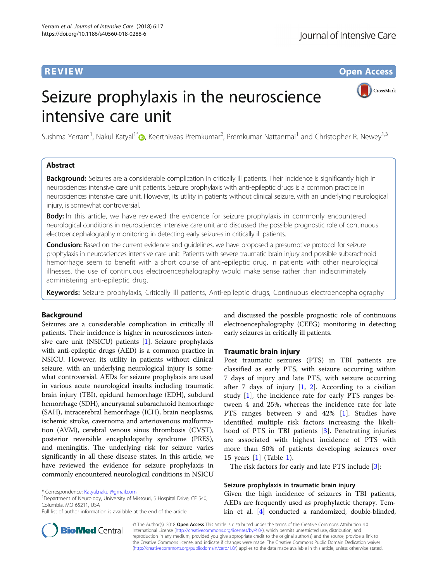**REVIEW CONSTRUCTION CONSTRUCTION CONSTRUCTS** 

CrossMark

# Seizure prophylaxis in the neuroscience intensive care unit

Sushma Yerram<sup>1</sup>, Nakul Katyal<sup>1[\\*](http://orcid.org/0000-0003-0249-1707)</sup>®, Keerthivaas Premkumar<sup>2</sup>, Premkumar Nattanmai<sup>1</sup> and Christopher R. Newey<sup>1,3</sup>

## Abstract

**Background:** Seizures are a considerable complication in critically ill patients. Their incidence is significantly high in neurosciences intensive care unit patients. Seizure prophylaxis with anti-epileptic drugs is a common practice in neurosciences intensive care unit. However, its utility in patients without clinical seizure, with an underlying neurological injury, is somewhat controversial.

**Body:** In this article, we have reviewed the evidence for seizure prophylaxis in commonly encountered neurological conditions in neurosciences intensive care unit and discussed the possible prognostic role of continuous electroencephalography monitoring in detecting early seizures in critically ill patients.

Conclusion: Based on the current evidence and quidelines, we have proposed a presumptive protocol for seizure prophylaxis in neurosciences intensive care unit. Patients with severe traumatic brain injury and possible subarachnoid hemorrhage seem to benefit with a short course of anti-epileptic drug. In patients with other neurological illnesses, the use of continuous electroencephalography would make sense rather than indiscriminately administering anti-epileptic drug.

Keywords: Seizure prophylaxis, Critically ill patients, Anti-epileptic drugs, Continuous electroencephalography

## Background

Seizures are a considerable complication in critically ill patients. Their incidence is higher in neurosciences intensive care unit (NSICU) patients [\[1](#page-7-0)]. Seizure prophylaxis with anti-epileptic drugs (AED) is a common practice in NSICU. However, its utility in patients without clinical seizure, with an underlying neurological injury is somewhat controversial. AEDs for seizure prophylaxis are used in various acute neurological insults including traumatic brain injury (TBI), epidural hemorrhage (EDH), subdural hemorrhage (SDH), aneurysmal subarachnoid hemorrhage (SAH), intracerebral hemorrhage (ICH), brain neoplasms, ischemic stroke, cavernoma and arteriovenous malformation (AVM), cerebral venous sinus thrombosis (CVST), posterior reversible encephalopathy syndrome (PRES), and meningitis. The underlying risk for seizure varies significantly in all these disease states. In this article, we have reviewed the evidence for seizure prophylaxis in commonly encountered neurological conditions in NSICU

<sup>1</sup>Department of Neurology, University of Missouri, 5 Hospital Drive, CE 540, Columbia, MO 65211, USA

and discussed the possible prognostic role of continuous electroencephalography (CEEG) monitoring in detecting early seizures in critically ill patients.

## Traumatic brain injury

Post traumatic seizures (PTS) in TBI patients are classified as early PTS, with seizure occurring within 7 days of injury and late PTS, with seizure occurring after 7 days of injury  $[1, 2]$  $[1, 2]$  $[1, 2]$  $[1, 2]$  $[1, 2]$ . According to a civilian study [[1\]](#page-7-0), the incidence rate for early PTS ranges between 4 and 25%, whereas the incidence rate for late PTS ranges between 9 and 42% [\[1](#page-7-0)]. Studies have identified multiple risk factors increasing the likelihood of PTS in TBI patients [[3](#page-7-0)]. Penetrating injuries are associated with highest incidence of PTS with more than 50% of patients developing seizures over 15 years [[1\]](#page-7-0) (Table [1\)](#page-1-0).

The risk factors for early and late PTS include [[3](#page-7-0)]:

## Seizure prophylaxis in traumatic brain injury

Given the high incidence of seizures in TBI patients, AEDs are frequently used as prophylactic therapy. Temkin et al. [[4](#page-7-0)] conducted a randomized, double-blinded,



© The Author(s). 2018 Open Access This article is distributed under the terms of the Creative Commons Attribution 4.0 International License [\(http://creativecommons.org/licenses/by/4.0/](http://creativecommons.org/licenses/by/4.0/)), which permits unrestricted use, distribution, and reproduction in any medium, provided you give appropriate credit to the original author(s) and the source, provide a link to the Creative Commons license, and indicate if changes were made. The Creative Commons Public Domain Dedication waiver [\(http://creativecommons.org/publicdomain/zero/1.0/](http://creativecommons.org/publicdomain/zero/1.0/)) applies to the data made available in this article, unless otherwise stated.

<sup>\*</sup> Correspondence: [Katyal.nakul@gmail.com](mailto:Katyal.nakul@gmail.com) <sup>1</sup>

Full list of author information is available at the end of the article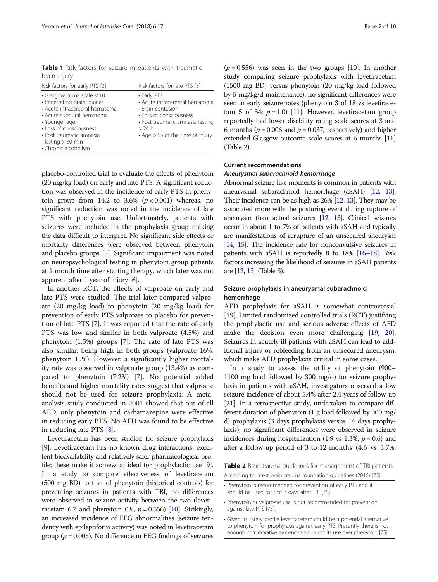<span id="page-1-0"></span>Table 1 Risk factors for seizure in patients with traumatic brain injury

| Risk factors for early PTS [3]                                                                                                                                                                                                                         | Risk factors for late PTS [3]                                                                                                                                                           |
|--------------------------------------------------------------------------------------------------------------------------------------------------------------------------------------------------------------------------------------------------------|-----------------------------------------------------------------------------------------------------------------------------------------------------------------------------------------|
| $\cdot$ Glasgow coma scale $<$ 10<br>• Penetrating brain injuries<br>• Acute intracerebral hematoma<br>• Acute subdural hematoma<br>• Younger age<br>• Loss of consciousness<br>• Post traumatic amnesia<br>lasting $>$ 30 min<br>• Chronic alcoholism | • Early PTS<br>· Acute intracerebral hematoma<br>• Brain contusion<br>• Loss of consciousness<br>· Post traumatic amnesia lasting<br>> 24 h<br>$\cdot$ Age $> 65$ at the time of injury |

placebo-controlled trial to evaluate the effects of phenytoin (20 mg/kg load) on early and late PTS. A significant reduction was observed in the incidence of early PTS in phenytoin group from 14.2 to 3.6%  $(p < 0.001)$  whereas, no significant reduction was noted in the incidence of late PTS with phenytoin use. Unfortunately, patients with seizures were included in the prophylaxis group making the data difficult to interpret. No significant side effects or mortality differences were observed between phenytoin and placebo groups [[5\]](#page-7-0). Significant impairment was noted on neuropsychological testing in phenytoin group patients at 1 month time after starting therapy, which later was not apparent after 1 year of injury  $[6]$  $[6]$  $[6]$ .

In another RCT, the effects of valproate on early and late PTS were studied. The trial later compared valproate (20 mg/kg load) to phenytoin (20 mg/kg load) for prevention of early PTS valproate to placebo for prevention of late PTS [[7\]](#page-7-0). It was reported that the rate of early PTS was low and similar in both valproate (4.5%) and phenytoin (1.5%) groups [\[7](#page-7-0)]. The rate of late PTS was also similar, being high in both groups (valproate 16%, phenytoin 15%). However, a significantly higher mortality rate was observed in valproate group (13.4%) as compared to phenytoin (7.2%) [[7\]](#page-7-0). No potential added benefits and higher mortality rates suggest that valproate should not be used for seizure prophylaxis. A metaanalysis study conducted in 2001 showed that out of all AED, only phenytoin and carbamazepine were effective in reducing early PTS. No AED was found to be effective in reducing late PTS [[8\]](#page-7-0).

Levetiracetam has been studied for seizure prophylaxis [[9](#page-7-0)]. Levetiracetam has no known drug interactions, excellent bioavailability and relatively safer pharmacological profile; these make it somewhat ideal for prophylactic use [[9](#page-7-0)]. In a study to compare effectiveness of levetiracetam (500 mg BD) to that of phenytoin (historical controls) for preventing seizures in patients with TBI, no differences were observed in seizure activity between the two (levetiracetam 6.7 and phenytoin 0%,  $p = 0.556$ ) [[10](#page-7-0)]. Strikingly, an increased incidence of EEG abnormalities (seizure tendency with epileptiform activity) was noted in levetiracetam group ( $p = 0.003$ ). No difference in EEG findings of seizures

 $(p = 0.556)$  was seen in the two groups [[10](#page-7-0)]. In another study comparing seizure prophylaxis with levetiracetam (1500 mg BD) versus phenytoin (20 mg/kg load followed by 5 mg/kg/d maintenance), no significant differences were seen in early seizure rates (phenytoin 3 of 18 vs levetiracetam 5 of 34;  $p = 1.0$  [[11](#page-7-0)]. However, levetiracetam group reportedly had lower disability rating scale scores at 3 and 6 months ( $p = 0.006$  and  $p = 0.037$ , respectively) and higher extended Glasgow outcome scale scores at 6 months [\[11](#page-7-0)] (Table 2).

## Current recommendations

## Aneurysmal subarachnoid hemorrhage

Abnormal seizure like moments is common in patients with aneurysmal subarachnoid hemorrhage (aSAH) [\[12](#page-7-0), [13](#page-7-0)]. Their incidence can be as high as 26% [[12,](#page-7-0) [13\]](#page-7-0). They may be associated more with the posturing event during rupture of aneurysm than actual seizures [\[12,](#page-7-0) [13](#page-7-0)]. Clinical seizures occur in about 1 to 7% of patients with aSAH and typically are manifestations of rerupture of an unsecured aneurysm [[14,](#page-7-0) [15\]](#page-7-0). The incidence rate for nonconvulsive seizures in patients with aSAH is reportedly 8 to 18% [\[16](#page-7-0)–[18\]](#page-7-0). Risk factors increasing the likelihood of seizures in aSAH patients are [\[12](#page-7-0), [13](#page-7-0)] (Table [3\)](#page-2-0).

## Seizure prophylaxis in aneurysmal subarachnoid hemorrhage

AED prophylaxis for aSAH is somewhat controversial [[19](#page-7-0)]. Limited randomized controlled trials (RCT) justifying the prophylactic use and serious adverse effects of AED make the decision even more challenging [[19](#page-7-0), [20](#page-7-0)]. Seizures in acutely ill patients with aSAH can lead to additional injury or rebleeding from an unsecured aneurysm, which make AED prophylaxis critical in some cases.

In a study to assess the utility of phenytoin (900– 1100 mg load followed by 300 mg/d) for seizure prophylaxis in patients with aSAH, investigators observed a low seizure incidence of about 5.4% after 2.4 years of follow-up [[21](#page-7-0)]. In a retrospective study, undertaken to compare different duration of phenytoin (1 g load followed by 300 mg/ d) prophylaxis (3 days prophylaxis versus 14 days prophylaxis), no significant differences were observed in seizure incidences during hospitalization (1.9 vs 1.3%,  $p = 0.6$ ) and after a follow-up period of 3 to 12 months (4.6 vs 5.7%,

Table 2 Brain trauma guidelines for management of TBI patients

| According to latest brain trauma foundation guidelines (2016) [75] |  |
|--------------------------------------------------------------------|--|
| • Phenytoin is recommended for prevention of early PTS and it      |  |

should be used for first 7 days after TBI [\[75\]](#page-9-0).

- Phenytoin or valproate use is not recommended for prevention against late PTS [[75](#page-9-0)].
- Given its safety profile levetiracetam could be a potential alternative to phenytoin for prophylaxis against early PTS. Presently there is not enough corroborative evidence to support its use over phenytoin [[75](#page-9-0)].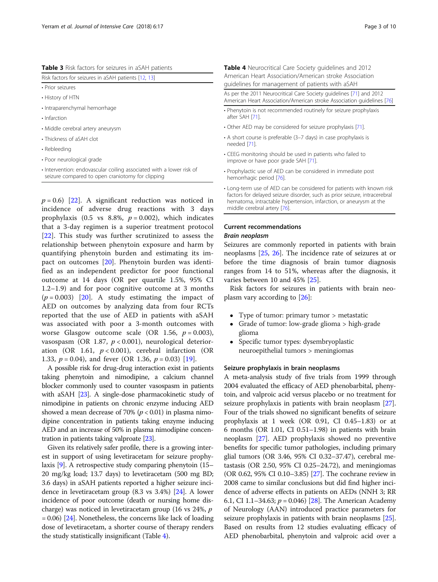<span id="page-2-0"></span>

| Table 3 Risk factors for seizures in aSAH patients |
|----------------------------------------------------|
|----------------------------------------------------|

| Risk factors for seizures in aSAH patients [12, 13] |
|-----------------------------------------------------|
| • Prior seizures                                    |
| • History of HTN                                    |
| • Intraparenchymal hemorrhage                       |
| • Infarction                                        |
| • Middle cerebral artery aneurysm                   |
| • Thickness of aSAH clot                            |
| • Rebleeding                                        |
| • Poor neurological grade                           |
|                                                     |

• Intervention: endovascular coiling associated with a lower risk of seizure compared to open craniotomy for clipping

 $p = 0.6$ ) [\[22](#page-7-0)]. A significant reduction was noticed in incidence of adverse drug reactions with 3 days prophylaxis (0.5 vs 8.8%,  $p = 0.002$ ), which indicates that a 3-day regimen is a superior treatment protocol [[22\]](#page-7-0). This study was further scrutinized to assess the relationship between phenytoin exposure and harm by quantifying phenytoin burden and estimating its impact on outcomes [[20](#page-7-0)]. Phenytoin burden was identified as an independent predictor for poor functional outcome at 14 days (OR per quartile 1.5%, 95% CI 1.2–1.9) and for poor cognitive outcome at 3 months  $(p = 0.003)$  [[20\]](#page-7-0). A study estimating the impact of AED on outcomes by analyzing data from four RCTs reported that the use of AED in patients with aSAH was associated with poor a 3-month outcomes with worse Glasgow outcome scale (OR 1.56,  $p = 0.003$ ), vasospasm (OR 1.87,  $p < 0.001$ ), neurological deterioration (OR 1.61,  $p < 0.001$ ), cerebral infarction (OR 1.33,  $p = 0.04$ ), and fever (OR 1.36,  $p = 0.03$ ) [\[19](#page-7-0)].

A possible risk for drug-drug interaction exist in patients taking phenytoin and nimodipine, a calcium channel blocker commonly used to counter vasospasm in patients with aSAH [\[23\]](#page-8-0). A single-dose pharmacokinetic study of nimodipine in patients on chronic enzyme inducing AED showed a mean decrease of 70% ( $p < 0.01$ ) in plasma nimodipine concentration in patients taking enzyme inducing AED and an increase of 50% in plasma nimodipine concentration in patients taking valproate [\[23\]](#page-8-0).

Given its relatively safer profile, there is a growing interest in support of using levetiracetam for seizure prophylaxis [[9](#page-7-0)]. A retrospective study comparing phenytoin (15– 20 mg/kg load; 13.7 days) to levetiracetam (500 mg BD; 3.6 days) in aSAH patients reported a higher seizure incidence in levetiracetam group (8.3 vs 3.4%) [\[24\]](#page-8-0). A lower incidence of poor outcome (death or nursing home discharge) was noticed in levetiracetam group (16 vs 24%, p  $= 0.06$ ) [[24](#page-8-0)]. Nonetheless, the concerns like lack of loading dose of levetiracetam, a shorter course of therapy renders the study statistically insignificant (Table 4).

| Table 4 Neurocritical Care Society guidelines and 2012<br>American Heart Association/American stroke Association<br>quidelines for management of patients with aSAH |  |  |  |
|---------------------------------------------------------------------------------------------------------------------------------------------------------------------|--|--|--|
| As per the 2011 Neurocritical Care Society quidelines [71] and 2012<br>American Heart Association/American stroke Association quidelines [76]                       |  |  |  |
| • Phenytoin is not recommended routinely for seizure prophylaxis<br>after SAH [71].                                                                                 |  |  |  |
| • Other AED may be considered for seizure prophylaxis [71].                                                                                                         |  |  |  |
| • A short course is preferable (3–7 days) in case prophylaxis is<br>needed [71].                                                                                    |  |  |  |
| • CEEG monitoring should be used in patients who failed to<br>improve or have poor grade SAH [71].                                                                  |  |  |  |
|                                                                                                                                                                     |  |  |  |

- Prophylactic use of AED can be considered in immediate post hemorrhagic period [\[76\]](#page-9-0).
- Long-term use of AED can be considered for patients with known risk factors for delayed seizure disorder, such as prior seizure, intracerebral hematoma, intractable hypertension, infarction, or aneurysm at the middle cerebral artery [[76\]](#page-9-0).

## Current recommendations Brain neoplasm

Seizures are commonly reported in patients with brain neoplasms [[25](#page-8-0), [26](#page-8-0)]. The incidence rate of seizures at or before the time diagnosis of brain tumor diagnosis ranges from 14 to 51%, whereas after the diagnosis, it varies between 10 and 45% [\[25\]](#page-8-0).

Risk factors for seizures in patients with brain neoplasm vary according to [\[26\]](#page-8-0):

- Type of tumor: primary tumor > metastatic
- Grade of tumor: low-grade glioma > high-grade glioma
- Specific tumor types: dysembryoplastic neuroepithelial tumors > meningiomas

## Seizure prophylaxis in brain neoplasms

A meta-analysis study of five trials from 1999 through 2004 evaluated the efficacy of AED phenobarbital, phenytoin, and valproic acid versus placebo or no treatment for seizure prophylaxis in patients with brain neoplasm [[27](#page-8-0)]. Four of the trials showed no significant benefits of seizure prophylaxis at 1 week (OR 0.91, CI 0.45–1.83) or at 6 months (OR 1.01, CI 0.51–1.98) in patients with brain neoplasm [\[27\]](#page-8-0). AED prophylaxis showed no preventive benefits for specific tumor pathologies, including primary glial tumors (OR 3.46, 95% CI 0.32–37.47), cerebral metastasis (OR 2.50, 95% CI 0.25–24.72), and meningiomas (OR 0.62, 95% CI 0.10–3.85) [[27](#page-8-0)]. The cochrane review in 2008 came to similar conclusions but did find higher incidence of adverse effects in patients on AEDs (NNH 3; RR 6.1, CI 1.1-34.63;  $p = 0.046$  [[28](#page-8-0)]. The American Academy of Neurology (AAN) introduced practice parameters for seizure prophylaxis in patients with brain neoplasms [[25](#page-8-0)]. Based on results from 12 studies evaluating efficacy of AED phenobarbital, phenytoin and valproic acid over a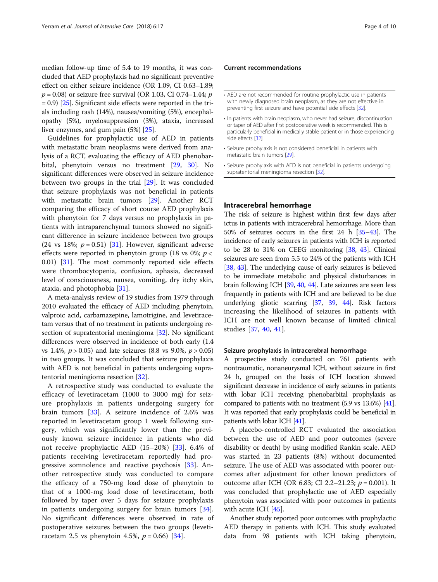median follow-up time of 5.4 to 19 months, it was concluded that AED prophylaxis had no significant preventive effect on either seizure incidence (OR 1.09, CI 0.63–1.89;  $p = 0.08$ ) or seizure free survival (OR 1.03, CI 0.74–1.44; p = 0.9) [[25](#page-8-0)]. Significant side effects were reported in the trials including rash (14%), nausea/vomiting (5%), encephalopathy (5%), myelosuppression (3%), ataxia, increased liver enzymes, and gum pain (5%) [\[25\]](#page-8-0).

Guidelines for prophylactic use of AED in patients with metastatic brain neoplasms were derived from analysis of a RCT, evaluating the efficacy of AED phenobarbital, phenytoin versus no treatment [\[29](#page-8-0), [30\]](#page-8-0). No significant differences were observed in seizure incidence between two groups in the trial [\[29\]](#page-8-0). It was concluded that seizure prophylaxis was not beneficial in patients with metastatic brain tumors [[29](#page-8-0)]. Another RCT comparing the efficacy of short course AED prophylaxis with phenytoin for 7 days versus no prophylaxis in patients with intraparenchymal tumors showed no significant difference in seizure incidence between two groups (24 vs 18%;  $p = 0.51$ ) [\[31\]](#page-8-0). However, significant adverse effects were reported in phenytoin group (18 vs 0%;  $p <$ 0.01) [\[31](#page-8-0)]. The most commonly reported side effects were thrombocytopenia, confusion, aphasia, decreased level of consciousness, nausea, vomiting, dry itchy skin, ataxia, and photophobia [[31](#page-8-0)].

A meta-analysis review of 19 studies from 1979 through 2010 evaluated the efficacy of AED including phenytoin, valproic acid, carbamazepine, lamotrigine, and levetiracetam versus that of no treatment in patients undergoing resection of supratentorial meningioma [\[32](#page-8-0)]. No significant differences were observed in incidence of both early (1.4 vs 1.4%,  $p > 0.05$ ) and late seizures (8.8 vs 9.0%,  $p > 0.05$ ) in two groups. It was concluded that seizure prophylaxis with AED is not beneficial in patients undergoing supratentorial meningioma resection [[32](#page-8-0)].

A retrospective study was conducted to evaluate the efficacy of levetiracetam (1000 to 3000 mg) for seizure prophylaxis in patients undergoing surgery for brain tumors [[33\]](#page-8-0). A seizure incidence of 2.6% was reported in levetiracetam group 1 week following surgery, which was significantly lower than the previously known seizure incidence in patients who did not receive prophylactic AED (15–20%) [[33](#page-8-0)]. 6.4% of patients receiving levetiracetam reportedly had progressive somnolence and reactive psychosis [[33\]](#page-8-0). Another retrospective study was conducted to compare the efficacy of a 750-mg load dose of phenytoin to that of a 1000-mg load dose of levetiracetam, both followed by taper over 5 days for seizure prophylaxis in patients undergoing surgery for brain tumors [\[34](#page-8-0)]. No significant differences were observed in rate of postoperative seizures between the two groups (levetiracetam 2.5 vs phenytoin 4.5%,  $p = 0.66$  [[34](#page-8-0)].

#### Current recommendations

- AED are not recommended for routine prophylactic use in patients with newly diagnosed brain neoplasm, as they are not effective in preventing first seizure and have potential side effects [\[32\]](#page-8-0).
- In patients with brain neoplasm, who never had seizure, discontinuation or taper of AED after first postoperative week is recommended. This is particularly beneficial in medically stable patient or in those experiencing side effects [[32](#page-8-0)].
- Seizure prophylaxis is not considered beneficial in patients with metastatic brain tumors [[29](#page-8-0)].
- Seizure prophylaxis with AED is not beneficial in patients undergoing supratentorial meningioma resection [[32](#page-8-0)].

## Intracerebral hemorrhage

The risk of seizure is highest within first few days after ictus in patients with intracerebral hemorrhage. More than 50% of seizures occurs in the first 24 h [\[35](#page-8-0)–[43](#page-8-0)]. The incidence of early seizures in patients with ICH is reported to be 28 to 31% on CEEG monitoring [\[38](#page-8-0), [43](#page-8-0)]. Clinical seizures are seen from 5.5 to 24% of the patients with ICH [[38](#page-8-0), [43](#page-8-0)]. The underlying cause of early seizures is believed to be immediate metabolic and physical disturbances in brain following ICH [\[39](#page-8-0), [40,](#page-8-0) [44](#page-8-0)]. Late seizures are seen less frequently in patients with ICH and are believed to be due underlying gliotic scarring [[37](#page-8-0), [39](#page-8-0), [44](#page-8-0)]. Risk factors increasing the likelihood of seizures in patients with ICH are not well known because of limited clinical studies [[37,](#page-8-0) [40,](#page-8-0) [41](#page-8-0)].

## Seizure prophylaxis in intracerebral hemorrhage

A prospective study conducted on 761 patients with nontraumatic, nonaneurysmal ICH, without seizure in first 24 h, grouped on the basis of ICH location showed significant decrease in incidence of early seizures in patients with lobar ICH receiving phenobarbital prophylaxis as compared to patients with no treatment (5.9 vs 13.6%) [\[41\]](#page-8-0). It was reported that early prophylaxis could be beneficial in patients with lobar ICH [[41](#page-8-0)].

A placebo-controlled RCT evaluated the association between the use of AED and poor outcomes (severe disability or death) by using modified Rankin scale. AED was started in 23 patients (8%) without documented seizure. The use of AED was associated with poorer outcomes after adjustment for other known predictors of outcome after ICH (OR 6.83; CI 2.2–21.23;  $p = 0.001$ ). It was concluded that prophylactic use of AED especially phenytoin was associated with poor outcomes in patients with acute ICH [[45](#page-8-0)].

Another study reported poor outcomes with prophylactic AED therapy in patients with ICH. This study evaluated data from 98 patients with ICH taking phenytoin,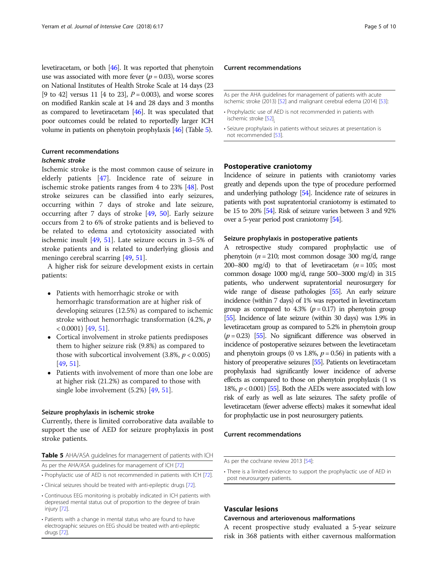levetiracetam, or both [\[46\]](#page-8-0). It was reported that phenytoin use was associated with more fever  $(p = 0.03)$ , worse scores on National Institutes of Health Stroke Scale at 14 days (23 [9 to 42] versus 11 [4 to 23],  $P = 0.003$ ), and worse scores on modified Rankin scale at 14 and 28 days and 3 months as compared to levetiracetam [[46](#page-8-0)]. It was speculated that poor outcomes could be related to reportedly larger ICH volume in patients on phenytoin prophylaxis [\[46\]](#page-8-0) (Table 5).

## Current recommendations

## Ischemic stroke

Ischemic stroke is the most common cause of seizure in elderly patients [\[47](#page-8-0)]. Incidence rate of seizure in ischemic stroke patients ranges from 4 to 23% [[48](#page-8-0)]. Post stroke seizures can be classified into early seizures, occurring within 7 days of stroke and late seizure, occurring after 7 days of stroke [[49,](#page-8-0) [50](#page-8-0)]. Early seizure occurs from 2 to 6% of stroke patients and is believed to be related to edema and cytotoxicity associated with ischemic insult [[49,](#page-8-0) [51](#page-8-0)]. Late seizure occurs in 3–5% of stroke patients and is related to underlying gliosis and meningo cerebral scarring [[49,](#page-8-0) [51](#page-8-0)].

A higher risk for seizure development exists in certain patients:

- Patients with hemorrhagic stroke or with hemorrhagic transformation are at higher risk of developing seizures (12.5%) as compared to ischemic stroke without hemorrhagic transformation (4.2%, p  $< 0.0001$ ) [\[49,](#page-8-0) [51\]](#page-8-0).
- Cortical involvement in stroke patients predisposes them to higher seizure risk (9.8%) as compared to those with subcortical involvement  $(3.8\%, p < 0.005)$ [[49](#page-8-0), [51](#page-8-0)].
- Patients with involvement of more than one lobe are at higher risk (21.2%) as compared to those with single lobe involvement (5.2%) [\[49,](#page-8-0) [51\]](#page-8-0).

## Seizure prophylaxis in ischemic stroke

Currently, there is limited corroborative data available to support the use of AED for seizure prophylaxis in post stroke patients.

|  | <b>Table 5</b> AHA/ASA guidelines for management of patients with ICH |  |  |  |
|--|-----------------------------------------------------------------------|--|--|--|
|  | As per the AHA/ASA guidelines for management of ICH [72]              |  |  |  |

• Prophylactic use of AED is not recommended in patients with ICH [\[72\]](#page-9-0).

- Clinical seizures should be treated with anti-epileptic drugs [\[72\]](#page-9-0).
- Continuous EEG monitoring is probably indicated in ICH patients with depressed mental status out of proportion to the degree of brain injury [\[72\]](#page-9-0).
- Patients with a change in mental status who are found to have electrographic seizures on EEG should be treated with anti-epileptic drugs [[72](#page-9-0)].

## Current recommendations

As per the AHA guidelines for management of patients with acute ischemic stroke (2013) [\[52\]](#page-8-0) and malignant cerebral edema (2014) [\[53](#page-8-0)]:

- Prophylactic use of AED is not recommended in patients with ischemic stroke [[52](#page-8-0)].
- Seizure prophylaxis in patients without seizures at presentation is not recommended [\[53\]](#page-8-0).

## Postoperative craniotomy

Incidence of seizure in patients with craniotomy varies greatly and depends upon the type of procedure performed and underlying pathology [[54\]](#page-8-0). Incidence rate of seizures in patients with post supratentorial craniotomy is estimated to be 15 to 20% [[54\]](#page-8-0). Risk of seizure varies between 3 and 92% over a 5-year period post craniotomy [\[54](#page-8-0)].

## Seizure prophylaxis in postoperative patients

A retrospective study compared prophylactic use of phenytoin ( $n = 210$ ; most common dosage 300 mg/d, range 200–800 mg/d) to that of levetiracetam  $(n = 105;$  most common dosage 1000 mg/d, range 500–3000 mg/d) in 315 patients, who underwent supratentorial neurosurgery for wide range of disease pathologies [\[55\]](#page-8-0). An early seizure incidence (within 7 days) of 1% was reported in levetiracetam group as compared to 4.3% ( $p = 0.17$ ) in phenytoin group [[55\]](#page-8-0). Incidence of late seizure (within 30 days) was 1.9% in levetiracetam group as compared to 5.2% in phenytoin group  $(p = 0.23)$  [\[55\]](#page-8-0). No significant difference was observed in incidence of postoperative seizures between the levetiracetam and phenytoin groups (0 vs 1.8%,  $p = 0.56$ ) in patients with a history of preoperative seizures [\[55](#page-8-0)]. Patients on levetiracetam prophylaxis had significantly lower incidence of adverse effects as compared to those on phenytoin prophylaxis (1 vs 18%,  $p < 0.001$ ) [\[55](#page-8-0)]. Both the AEDs were associated with low risk of early as well as late seizures. The safety profile of levetiracetam (fewer adverse effects) makes it somewhat ideal for prophylactic use in post neurosurgery patients.

## Current recommendations

## Vascular lesions

## Cavernous and arteriovenous malformations

A recent prospective study evaluated a 5-year seizure risk in 368 patients with either cavernous malformation

As per the cochrane review 2013 [\[54\]](#page-8-0):

<sup>•</sup> There is a limited evidence to support the prophylactic use of AED in post neurosurgery patients.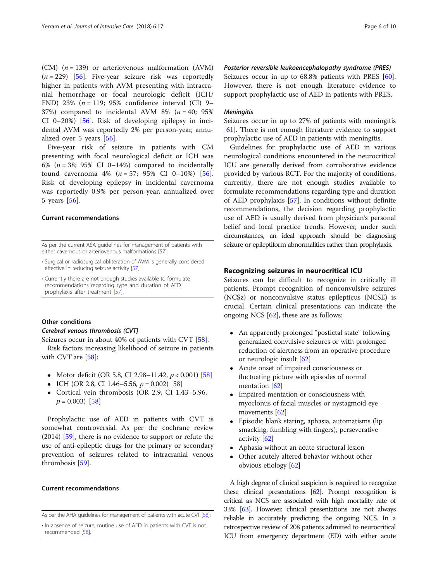(CM)  $(n = 139)$  or arteriovenous malformation (AVM)  $(n = 229)$  [[56\]](#page-8-0). Five-year seizure risk was reportedly higher in patients with AVM presenting with intracranial hemorrhage or focal neurologic deficit (ICH/ FND) 23% ( $n = 119$ ; 95% confidence interval (CI) 9– 37%) compared to incidental AVM 8% ( $n = 40$ ; 95% CI 0–20%) [[56\]](#page-8-0). Risk of developing epilepsy in incidental AVM was reportedly 2% per person-year, annualized over 5 years [[56\]](#page-8-0).

Five-year risk of seizure in patients with CM presenting with focal neurological deficit or ICH was 6% ( $n = 38$ ; 95% CI 0–14%) compared to incidentally found cavernoma  $4\%$  ( $n = 57$ ;  $95\%$  CI 0-10%) [\[56](#page-8-0)]. Risk of developing epilepsy in incidental cavernoma was reportedly 0.9% per person-year, annualized over 5 years [[56\]](#page-8-0).

## Current recommendations

As per the current ASA guidelines for management of patients with either cavernous or arteriovenous malformations [\[57\]](#page-8-0):

- Surgical or radiosurgical obliteration of AVM is generally considered effective in reducing seizure activity [\[57\]](#page-8-0).
- Currently there are not enough studies available to formulate recommendations regarding type and duration of AED prophylaxis after treatment [[57\]](#page-8-0).

## Other conditions

## Cerebral venous thrombosis (CVT)

Seizures occur in about 40% of patients with CVT [\[58\]](#page-8-0). Risk factors increasing likelihood of seizure in patients with CVT are [[58\]](#page-8-0):

- Motor deficit (OR 5.8, CI 2.98–11.42,  $p < 0.001$ ) [\[58\]](#page-8-0)
- ICH (OR 2.8, CI 1.46–5.56,  $p = 0.002$ ) [[58](#page-8-0)]
- Cortical vein thrombosis (OR 2.9, CI 1.43–5.96,  $p = 0.003$  [\[58](#page-8-0)]

Prophylactic use of AED in patients with CVT is somewhat controversial. As per the cochrane review (2014) [[59\]](#page-8-0), there is no evidence to support or refute the use of anti-epileptic drugs for the primary or secondary prevention of seizures related to intracranial venous thrombosis [[59](#page-8-0)].

## Current recommendations

Posterior reversible leukoencephalopathy syndrome (PRES) Seizures occur in up to 68.8% patients with PRES [\[60](#page-8-0)].

However, there is not enough literature evidence to support prophylactic use of AED in patients with PRES.

## **Meningitis**

Seizures occur in up to 27% of patients with meningitis [[61\]](#page-8-0). There is not enough literature evidence to support prophylactic use of AED in patients with meningitis.

Guidelines for prophylactic use of AED in various neurological conditions encountered in the neurocritical ICU are generally derived from corroborative evidence provided by various RCT. For the majority of conditions, currently, there are not enough studies available to formulate recommendations regarding type and duration of AED prophylaxis [\[57](#page-8-0)]. In conditions without definite recommendations, the decision regarding prophylactic use of AED is usually derived from physician's personal belief and local practice trends. However, under such circumstances, an ideal approach should be diagnosing seizure or epileptiform abnormalities rather than prophylaxis.

## Recognizing seizures in neurocritical ICU

Seizures can be difficult to recognize in critically ill patients. Prompt recognition of nonconvulsive seizures (NCSz) or nonconvulsive status epilepticus (NCSE) is crucial. Certain clinical presentations can indicate the ongoing NCS  $[62]$  $[62]$ , these are as follows:

- An apparently prolonged "postictal state" following generalized convulsive seizures or with prolonged reduction of alertness from an operative procedure or neurologic insult [\[62\]](#page-8-0)
- Acute onset of impaired consciousness or fluctuating picture with episodes of normal mentation [[62\]](#page-8-0)
- Impaired mentation or consciousness with myoclonus of facial muscles or nystagmoid eye movements [\[62\]](#page-8-0)
- Episodic blank staring, aphasia, automatisms (lip smacking, fumbling with fingers), perseverative activity [[62](#page-8-0)]
- Aphasia without an acute structural lesion
- Other acutely altered behavior without other obvious etiology [\[62\]](#page-8-0)

A high degree of clinical suspicion is required to recognize these clinical presentations  $[62]$  $[62]$ . Prompt recognition is critical as NCS are associated with high mortality rate of 33% [\[63](#page-8-0)]. However, clinical presentations are not always reliable in accurately predicting the ongoing NCS. In a retrospective review of 208 patients admitted to neurocritical ICU from emergency department (ED) with either acute

As per the AHA guidelines for management of patients with acute CVT [\[58](#page-8-0)]:

<sup>•</sup> In absence of seizure, routine use of AED in patients with CVT is not recommended [[58](#page-8-0)].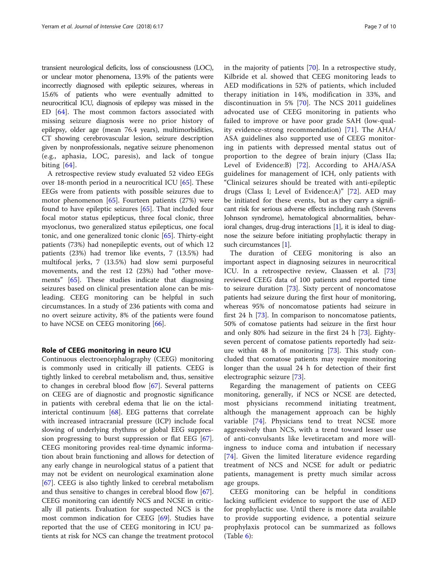transient neurological deficits, loss of consciousness (LOC), or unclear motor phenomena, 13.9% of the patients were incorrectly diagnosed with epileptic seizures, whereas in 15.6% of patients who were eventually admitted to neurocritical ICU, diagnosis of epilepsy was missed in the ED [[64](#page-8-0)]. The most common factors associated with missing seizure diagnosis were no prior history of epilepsy, older age (mean 76.4 years), multimorbidities, CT showing cerebrovascular lesion, seizure description given by nonprofessionals, negative seizure phenomenon (e.g., aphasia, LOC, paresis), and lack of tongue biting [[64\]](#page-8-0).

A retrospective review study evaluated 52 video EEGs over 18-month period in a neurocritical ICU [[65\]](#page-8-0). These EEGs were from patients with possible seizures due to motor phenomenon [[65](#page-8-0)]. Fourteen patients (27%) were found to have epileptic seizures [[65\]](#page-8-0). That included four focal motor status epilepticus, three focal clonic, three myoclonus, two generalized status epilepticus, one focal tonic, and one generalized tonic clonic [[65\]](#page-8-0). Thirty-eight patients (73%) had nonepileptic events, out of which 12 patients (23%) had tremor like events, 7 (13.5%) had multifocal jerks, 7 (13.5%) had slow semi purposeful movements, and the rest 12 (23%) had "other movements" [[65](#page-8-0)]. These studies indicate that diagnosing seizures based on clinical presentation alone can be misleading. CEEG monitoring can be helpful in such circumstances. In a study of 236 patients with coma and no overt seizure activity, 8% of the patients were found to have NCSE on CEEG monitoring [\[66](#page-8-0)].

## Role of CEEG monitoring in neuro ICU

Continuous electroencephalography (CEEG) monitoring is commonly used in critically ill patients. CEEG is tightly linked to cerebral metabolism and, thus, sensitive to changes in cerebral blood flow [\[67](#page-8-0)]. Several patterns on CEEG are of diagnostic and prognostic significance in patients with cerebral edema that lie on the ictalinterictal continuum [\[68](#page-8-0)]. EEG patterns that correlate with increased intracranial pressure (ICP) include focal slowing of underlying rhythms or global EEG suppression progressing to burst suppression or flat EEG [\[67](#page-8-0)]. CEEG monitoring provides real-time dynamic information about brain functioning and allows for detection of any early change in neurological status of a patient that may not be evident on neurological examination alone [[67\]](#page-8-0). CEEG is also tightly linked to cerebral metabolism and thus sensitive to changes in cerebral blood flow [\[67](#page-8-0)]. CEEG monitoring can identify NCS and NCSE in critically ill patients. Evaluation for suspected NCS is the most common indication for CEEG [[69\]](#page-8-0). Studies have reported that the use of CEEG monitoring in ICU patients at risk for NCS can change the treatment protocol in the majority of patients [\[70\]](#page-8-0). In a retrospective study, Kilbride et al. showed that CEEG monitoring leads to AED modifications in 52% of patients, which included therapy initiation in 14%, modification in 33%, and discontinuation in 5% [[70\]](#page-8-0). The NCS 2011 guidelines advocated use of CEEG monitoring in patients who failed to improve or have poor grade SAH (low-quality evidence-strong recommendation) [\[71](#page-9-0)]. The AHA/ ASA guidelines also supported use of CEEG monitoring in patients with depressed mental status out of proportion to the degree of brain injury (Class IIa; Level of Evidence:B) [[72\]](#page-9-0). According to AHA/ASA guidelines for management of ICH, only patients with "Clinical seizures should be treated with anti-epileptic drugs (Class I; Level of Evidence:A)" [[72\]](#page-9-0). AED may be initiated for these events, but as they carry a significant risk for serious adverse effects including rash (Stevens Johnson syndrome), hematological abnormalities, behavioral changes, drug-drug interactions  $[1]$ , it is ideal to diagnose the seizure before initiating prophylactic therapy in such circumstances [\[1](#page-7-0)].

The duration of CEEG monitoring is also an important aspect in diagnosing seizures in neurocritical ICU. In a retrospective review, Claassen et al. [[73](#page-9-0)] reviewed CEEG data of 100 patients and reported time to seizure duration [[73\]](#page-9-0). Sixty percent of noncomatose patients had seizure during the first hour of monitoring, whereas 95% of noncomatose patients had seizure in first 24 h [\[73](#page-9-0)]. In comparison to noncomatose patients, 50% of comatose patients had seizure in the first hour and only 80% had seizure in the first 24 h [\[73](#page-9-0)]. Eightyseven percent of comatose patients reportedly had seizure within 48 h of monitoring [[73\]](#page-9-0). This study concluded that comatose patients may require monitoring longer than the usual 24 h for detection of their first electrographic seizure [\[73](#page-9-0)].

Regarding the management of patients on CEEG monitoring, generally, if NCS or NCSE are detected, most physicians recommend initiating treatment, although the management approach can be highly variable [[74\]](#page-9-0). Physicians tend to treat NCSE more aggressively than NCS, with a trend toward lesser use of anti-convulsants like levetiracetam and more willingness to induce coma and intubation if necessary [[74\]](#page-9-0). Given the limited literature evidence regarding treatment of NCS and NCSE for adult or pediatric patients, management is pretty much similar across age groups.

CEEG monitoring can be helpful in conditions lacking sufficient evidence to support the use of AED for prophylactic use. Until there is more data available to provide supporting evidence, a potential seizure prophylaxis protocol can be summarized as follows  $(Table 6):$  $(Table 6):$  $(Table 6):$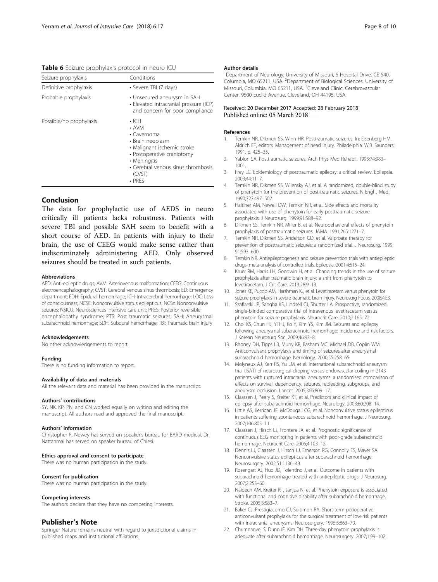<span id="page-7-0"></span>Table 6 Seizure prophylaxis protocol in neuro-ICU

| Seizure prophylaxis     | Conditions                                                                                                                                                                                                 |
|-------------------------|------------------------------------------------------------------------------------------------------------------------------------------------------------------------------------------------------------|
| Definitive prophylaxis  | · Severe TBI (7 days)                                                                                                                                                                                      |
| Probable prophylaxis    | • Unsecured aneurysm in SAH<br>· Elevated intracranial pressure (ICP)<br>and concern for poor compliance                                                                                                   |
| Possible/no prophylaxis | $\cdot$ ICH<br>$\cdot$ AVM<br>• Cavernoma<br>• Brain neoplasm<br>• Malignant ischemic stroke<br>• Postoperative craniotomy<br>• Meningitis<br>• Cerebral venous sinus thrombosis<br>(CVST)<br>$\cdot$ PRFS |

## Conclusion

The data for prophylactic use of AEDS in neuro critically ill patients lacks robustness. Patients with severe TBI and possible SAH seem to benefit with a short course of AED. In patients with injury to their brain, the use of CEEG would make sense rather than indiscriminately administering AED. Only observed seizures should be treated in such patients.

#### Abbreviations

AED: Anti-epileptic drugs; AVM: Arteriovenous malformation; CEEG: Continuous electroencephalography; CVST: Cerebral venous sinus thrombosis; ED: Emergency department; EDH: Epidural hemorrhage; ICH: Intracerebral hemorrhage; LOC: Loss of consciousness; NCSE: Nonconvulsive status epilepticus; NCSz: Nonconvulsive seizures; NSICU: Neurosciences intensive care unit; PRES: Posterior reversible encephalopathy syndrome; PTS: Post traumatic seizures; SAH: Aneurysmal subarachnoid hemorrhage; SDH: Subdural hemorrhage; TBI: Traumatic brain injury

#### Acknowledgements

No other acknowledgements to report.

#### Funding

There is no funding information to report.

#### Availability of data and materials

All the relevant data and material has been provided in the manuscript.

#### Authors' contributions

SY, NK, KP, PN, and CN worked equally on writing and editing the manuscript. All authors read and approved the final manuscript.

#### Authors' information

Christopher R. Newey has served on speaker's bureau for BARD medical. Dr. Nattanmai has served on speaker bureau of Chiesi.

#### Ethics approval and consent to participate

There was no human participation in the study.

## Consent for publication

There was no human participation in the study.

#### Competing interests

The authors declare that they have no competing interests.

## Publisher's Note

Springer Nature remains neutral with regard to jurisdictional claims in published maps and institutional affiliations.

#### Author details

<sup>1</sup>Department of Neurology, University of Missouri, 5 Hospital Drive, CE 540, Columbia, MO 65211, USA. <sup>2</sup>Department of Biological Sciences, University of Missouri, Columbia, MO 65211, USA. <sup>3</sup>Cleveland Clinic, Cerebrovascular Center, 9500 Euclid Avenue, Cleveland, OH 44195, USA.

#### Received: 20 December 2017 Accepted: 28 February 2018 Published online: 05 March 2018

#### References

- Temkin NR, Dikmen SS, Winn HR. Posttraumatic seizures. In: Eisenberg HM, Aldrich EF, editors. Management of head injury. Philadelphia: W.B. Saunders; 1991. p. 425–35.
- 2. Yablon SA. Posttraumatic seizures. Arch Phys Med Rehabil. 1993;74:983– 1001.
- 3. Frey LC. Epidemiology of posttraumatic epilepsy: a critical review. Epilepsia. 2003;44:11–7.
- 4. Temkin NR, Dikmen SS, Wilensky AJ, et al. A randomized, double-blind study of phenytoin for the prevention of post-traumatic seizures. N Engl J Med. 1990;323:497–502.
- 5. Haltiner AM, Newell DW, Temkin NR, et al. Side effects and mortality associated with use of phenytoin for early posttraumatic seizure prophylaxis. J Neurosurg. 1999;91:588–92.
- 6. Dikmen SS, Temkin NR, Miller B, et al. Neurobehavioral effects of phenytoin prophylaxis of posttraumatic seizures. JAMA. 1991;265:1271–7.
- 7. Temkin NR, Dikmen SS, Anderson GD, et al. Valproate therapy for prevention of posttraumatic seizures: a randomized trial. J Neurosurg. 1999; 91:593–600.
- 8. Temkin NR. Antiepileptogenesis and seizure prevention trials with antiepileptic drugs: meta-analysis of controlled trials. Epilepsia. 2001;4:515–24.
- 9. Kruer RM, Harris LH, Goodwin H, et al. Changing trends in the use of seizure prophylaxis after traumatic brain injury: a shift from phenytoin to levetiracetam. J Crit Care. 2013;28:9–13.
- 10. Jones KE, Puccio AM, Harshman KJ, et al. Levetiracetam versus phenytoin for seizure prophylaxis in severe traumatic brain injury. Neurosurg Focus. 2008;4:E3.
- 11. Szaflarski JP, Sangha KS, Lindsell CJ, Shutter LA. Prospective, randomized, single-blinded comparative trial of intravenous levetiracetam versus phenytoin for seizure prophylaxis. Neurocrit Care. 2010;2:165–72.
- 12. Choi KS, Chun HJ, Yi HJ, Ko Y, Kim YS, Kim JM. Seizures and epilepsy following aneurysmal subarachnoid hemorrhage: incidence and risk factors. J Korean Neurosurg Soc. 2009;46:93–8.
- 13. Rhoney DH, Tipps LB, Murry KR, Basham MC, Michael DB, Coplin WM. Anticonvulsant prophylaxis and timing of seizures after aneurysmal subarachnoid hemorrhage. Neurology. 2000;55:258–65.
- 14. Molyneux AJ, Kerr RS, Yu LM, et al. International subarachnoid aneurysm trial (ISAT) of neurosurgical clipping versus endovascular coiling in 2143 patients with ruptured intracranial aneurysms: a randomised comparison of effects on survival, dependency, seizures, rebleeding, subgroups, and aneurysm occlusion. Lancet. 2005;366:809–17.
- 15. Claassen J, Peery S, Kreiter KT, et al. Predictors and clinical impact of epilepsy after subarachnoid hemorrhage. Neurology. 2003;60:208–14.
- 16. Little AS, Kerrigan JF, McDougall CG, et al. Nonconvulsive status epilepticus in patients suffering spontaneous subarachnoid hemorrhage. J Neurosurg. 2007;106:805–11.
- 17. Claassen J, Hirsch LJ, Frontera JA, et al. Prognostic significance of continuous EEG monitoring in patients with poor-grade subarachnoid hemorrhage. Neurocrit Care. 2006;4:103–12.
- 18. Dennis LJ, Claassen J, Hirsch LJ, Emerson RG, Connolly ES, Mayer SA. Nonconvulsive status epilepticus after subarachnoid hemorrhage. Neurosurgery. 2002;51:1136–43.
- 19. Rosengart AJ, Huo JD, Tolentino J, et al. Outcome in patients with subarachnoid hemorrhage treated with antiepileptic drugs. J Neurosurg. 2007;2:253–60.
- 20. Naidech AM, Kreiter KT, Janjua N, et al. Phenytoin exposure is associated with functional and cognitive disability after subarachnoid hemorrhage. Stroke. 2005;3:583–7.
- 21. Baker CJ, Prestigiacomo CJ, Solomon RA. Short-term perioperative anticonvulsant prophylaxis for the surgical treatment of low-risk patients with intracranial aneurysms. Neurosurgery. 1995;5:863–70.
- 22. Chumnanvej S, Dunn IF, Kim DH. Three-day phenytoin prophylaxis is adequate after subarachnoid hemorrhage. Neurosurgery. 2007;1:99–102.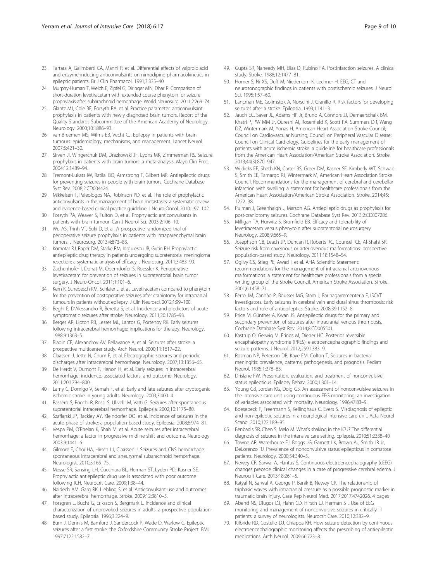- <span id="page-8-0"></span>23. Tartara A, Galimberti CA, Manni R, et al. Differential effects of valproic acid and enzyme-inducing anticonvulsants on nimodipine pharmacokinetics in epileptic patients. Br J Clin Pharmacol. 1991;3:335–40.
- 24. Murphy-Human T, Welch E, Zipfel G, Diringer MN, Dhar R. Comparison of short-duration levetiracetam with extended course phenytoin for seizure prophylaxis after subarachnoid hemorrhage. World Neurosurg. 2011;2:269–74.
- 25. Glantz MJ, Cole BF, Forsyth PA, et al. Practice parameter: anticonvulsant prophylaxis in patients with newly diagnosed brain tumors. Report of the Quality Standards Subcommittee of the American Academy of Neurology. Neurology. 2000;10:1886–93.
- 26. van Breemen MS, Wilms EB, Vecht CJ. Epilepsy in patients with brain tumours: epidemiology, mechanisms, and management. Lancet Neurol. 2007;5:421–30.
- 27. Sirven JI, Wingerchuk DM, Drazkowski JF, Lyons MK, Zimmerman RS. Seizure prophylaxis in patients with brain tumors: a meta-analysis. Mayo Clin Proc. 2004;12:1489–94.
- 28. Tremont-Lukats IW, Ratilal BO, Armstrong T, Gilbert MR. Antiepileptic drugs for preventing seizures in people with brain tumors. Cochrane Database Syst Rev. 2008;2:CD004424.
- 29. Mikkelsen T, Paleologos NA, Robinson PD, et al. The role of prophylactic anticonvulsants in the management of brain metastases: a systematic review and evidence-based clinical practice guideline. J Neuro-Oncol. 2010;1:97–102.
- 30. Forsyth PA, Weaver S, Fulton D, et al. Prophylactic anticonvulsants in patients with brain tumour. Can J Neurol Sci. 2003;2:106–10.
- 31. Wu AS, Trinh VT, Suki D, et al. A prospective randomized trial of perioperative seizure prophylaxis in patients with intraparenchymal brain tumors. J Neurosurg. 2013;4:873–83.
- 32. Komotar RJ, Raper DM, Starke RM, Iorgulescu JB, Gutin PH. Prophylactic antiepileptic drug therapy in patients undergoing supratentorial meningioma resection: a systematic analysis of efficacy. J Neurosurg. 2011;3:483–90.
- 33. Zachenhofer I, Donat M, Oberndorfer S, Roessler K. Perioperative levetiracetam for prevention of seizures in supratentorial brain tumor surgery. J Neuro-Oncol. 2011;1:101–6.
- 34. Kern K, Schebesch KM, Schlaier J, et al. Levetiracetam compared to phenytoin for the prevention of postoperative seizures after craniotomy for intracranial tumours in patients without epilepsy. J Clin Neurosci. 2012;1:99–100.
- 35. Beghi E, D'Alessandro R, Beretta S, et al. Incidence and predictors of acute symptomatic seizures after stroke. Neurology. 2011;20:1785–93.
- 36. Berger AR, Lipton RB, Lesser ML, Lantos G, Portenoy RK. Early seizures following intracerebral hemorrhage: implications for therapy. Neurology. 1988;9:1363–5.
- 37. Bladin CF, Alexandrov AV, Bellavance A, et al. Seizures after stroke: a prospective multicenter study. Arch Neurol. 2000;11:1617–22.
- 38. Claassen J, Jette N, Chum F, et al. Electrographic seizures and periodic discharges after intracerebral hemorrhage. Neurology. 2007;13:1356–65.
- 39. De Herdt V, Dumont F, Henon H, et al. Early seizures in intracerebral hemorrhage: incidence, associated factors, and outcome. Neurology. 2011;20:1794–800.
- 40. Lamy C, Domigo V, Semah F, et al. Early and late seizures after cryptogenic ischemic stroke in young adults. Neurology. 2003;3:400–4.
- 41. Passero S, Rocchi R, Rossi S, Ulivelli M, Vatti G. Seizures after spontaneous supratentorial intracerebral hemorrhage. Epilepsia. 2002;10:1175–80.
- 42. Szaflarski JP, Rackley AY, Kleindorfer DO, et al. Incidence of seizures in the acute phase of stroke: a population-based study. Epilepsia. 2008;6:974–81.
- 43. Vespa PM, O'Phelan K, Shah M, et al. Acute seizures after intracerebral hemorrhage: a factor in progressive midline shift and outcome. Neurology. 2003;9:1441–6.
- 44. Gilmore E, Choi HA, Hirsch LJ, Claassen J. Seizures and CNS hemorrhage: spontaneous intracerebral and aneurysmal subarachnoid hemorrhage. Neurologist. 2010;3:165–75.
- 45. Messe SR, Sansing LH, Cucchiara BL, Herman ST, Lyden PD, Kasner SE. Prophylactic antiepileptic drug use is associated with poor outcome following ICH. Neurocrit Care. 2009;1:38–44.
- 46. Naidech AM, Garg RK, Liebling S, et al. Anticonvulsant use and outcomes after intracerebral hemorrhage. Stroke. 2009;12:3810–5.
- 47. Forsgren L, Bucht G, Eriksson S, Bergmark L. Incidence and clinical characterization of unprovoked seizures in adults: a prospective populationbased study. Epilepsia. 1996;3:224–9.
- 48. Burn J, Dennis M, Bamford J, Sandercock P, Wade D, Warlow C. Epileptic seizures after a first stroke: the Oxfordshire Community Stroke Project. BMJ. 1997;7122:1582–7.
- 49. Gupta SR, Naheedy MH, Elias D, Rubino FA. Postinfarction seizures. A clinical study. Stroke. 1988;12:1477–81.
- 50. Horner S, Ni XS, Duft M, Niederkorn K, Lechner H. EEG, CT and neurosonographic findings in patients with postischemic seizures. J Neurol Sci. 1995;1:57–60.
- 51. Lancman ME, Golimstok A, Norscini J, Granillo R. Risk factors for developing seizures after a stroke. Epilepsia. 1993;1:141–3.
- 52. Jauch EC, Saver JL, Adams HP Jr, Bruno A, Connors JJ, Demaerschalk BM, Khatri P, PW MM Jr, Qureshi AI, Rosenfield K, Scott PA, Summers DR, Wang DZ, Wintermark M, Yonas H, American Heart Association Stroke Council; Council on Cardiovascular Nursing; Council on Peripheral Vascular Disease; Council on Clinical Cardiology. Guidelines for the early management of patients with acute ischemic stroke: a guideline for healthcare professionals from the American Heart Association/American Stroke Association. Stroke. 2013;44(3):870–947.
- 53. Wijdicks EF, Sheth KN, Carter BS, Greer DM, Kasner SE, Kimberly WT, Schwab S, Smith EE, Tamargo RJ, Wintermark M, American Heart Association Stroke Council. Recommendations for the management of cerebral and cerebellar infarction with swelling: a statement for healthcare professionals from the American Heart Association/American Stroke Association. Stroke. 2014;45: 1222–38.
- 54. Pulman J, Greenhalgh J, Marson AG. Antiepileptic drugs as prophylaxis for post-craniotomy seizures. Cochrane Database Syst Rev. 2013;2:CD007286.
- 55. Milligan TA, Hurwitz S, Bromfield EB. Efficacy and tolerability of levetiracetam versus phenytoin after supratentorial neurosurgery. Neurology. 2008;9:665–9.
- 56. Josephson CB, Leach JP, Duncan R, Roberts RC, Counsell CE, Al-Shahi SR. Seizure risk from cavernous or arteriovenous malformations: prospective population-based study. Neurology. 2011;18:1548–54.
- 57. Ogilvy CS, Stieg PE, Awad I, et al. AHA Scientific Statement: recommendations for the management of intracranial arteriovenous malformations: a statement for healthcare professionals from a special writing group of the Stroke Council, American Stroke Association. Stroke. 2001;6:1458–71.
- 58. Ferro JM, Canhão P, Bousser MG, Stam J, Barinagarrementeria F, ISCVT Investigators. Early seizures in cerebral vein and dural sinus thrombosis: risk factors and role of antiepileptics. Stroke. 2008;39:1152–8.
- 59. Price M, Günther A, Kwan JS. Antiepileptic drugs for the primary and secondary prevention of seizures after intracranial venous thrombosis. Cochrane Database Syst Rev. 2014;8:CD005501.
- 60. Kastrup O, Gerwig M, Frings M, Diener HC. Posterior reversible encephalopathy syndrome (PRES): electroencephalographic findings and seizure patterns. J Neurol. 2012;259:1383–9.
- 61. Rosman NP, Peterson DB, Kaye EM, Colton T. Seizures in bacterial meningitis: prevalence, patterns, pathogenesis, and prognosis. Pediatr Neurol. 1985;1:278–85.
- 62. Drislane FW. Presentation, evaluation, and treatment of nonconvulsive status epilepticus. Epilepsy Behav. 2000;1:301–14.
- 63. Young GB, Jordan KG, Doig GS. An assessment of nonconvulsive seizures in the intensive care unit using continuous EEG monitoring: an investigation of variables associated with mortality. Neurology. 1996;47:83–9.
- 64. Boesebeck F, Freermann S, Kellinghaus C, Evers S. Misdiagnosis of epileptic and non-epileptic seizures in a neurological intensive care unit. Acta Neurol Scand. 2010;122:189–95.
- 65. Benbadis SR, Chen S, Melo M. What's shaking in the ICU? The differential diagnosis of seizures in the intensive care setting. Epilepsia. 2010;51:2338–40.
- 66. Towne AR, Waterhouse EJ, Boggs JG, Garnett LK, Brown AJ, Smith JR Jr, DeLorenzo RJ. Prevalence of nonconvulsive status epilepticus in comatose patients. Neurology. 2000;54:340–5.
- 67. Newey CR, Sarwal A, Hantus S. Continuous electroencephalography (cEEG) changes precede clinical changes in a case of progressive cerebral edema. J Neurocrit Care. 2013;18:261–5.
- 68. Katyal N, Sarwal A, George P, Banik B, Newey CR. The relationship of triphasic waves with intracranial pressure as a possible prognostic marker in traumatic brain injury. Case Rep Neurol Med. 2017;2017:4742026. 4 pages
- 69. Abend NS, Dlugos DJ, Hahn CD, Hirsch LJ, Herman ST. Use of EEG monitoring and management of nonconvulsive seizures in critically ill patients: a survey of neurologists. Neurocrit Care. 2010;12:382–9.
- 70. Kilbride RD, Costello DJ, Chiappa KH. How seizure detection by continuous electroencephalographic monitoring affects the prescribing of antiepileptic medications. Arch Neurol. 2009;66:723–8.